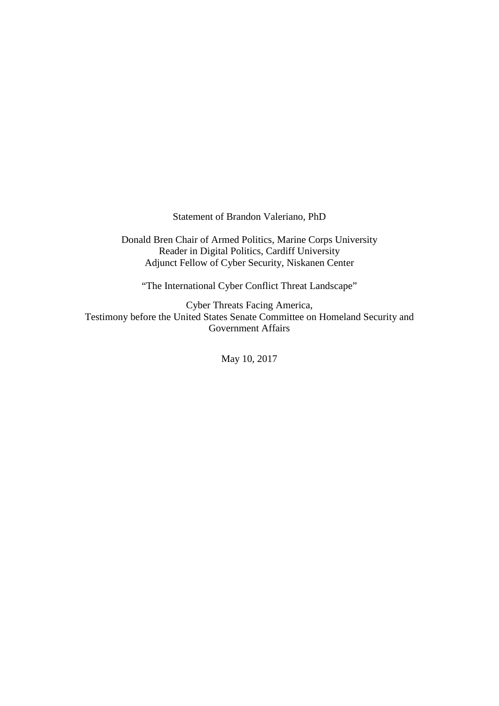Statement of Brandon Valeriano, PhD

Donald Bren Chair of Armed Politics, Marine Corps University Reader in Digital Politics, Cardiff University Adjunct Fellow of Cyber Security, Niskanen Center

"The International Cyber Conflict Threat Landscape"

Cyber Threats Facing America, Testimony before the United States Senate Committee on Homeland Security and Government Affairs

May 10, 2017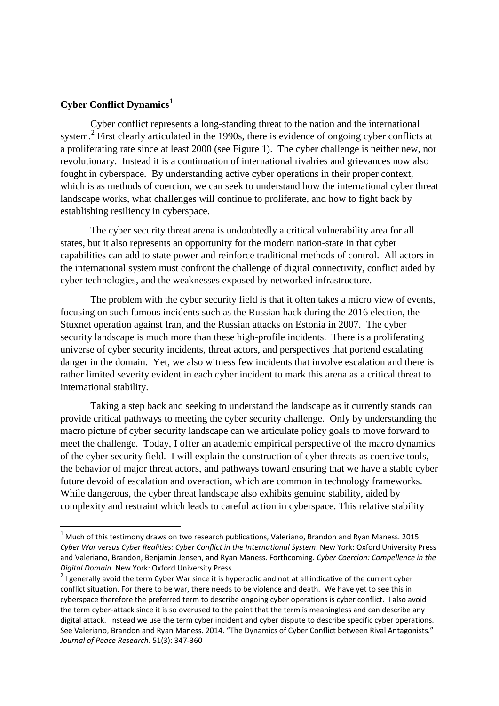# **Cyber Conflict Dynamics[1](#page-1-0)**

Cyber conflict represents a long-standing threat to the nation and the international system.<sup>[2](#page-1-1)</sup> First clearly articulated in the 1990s, there is evidence of ongoing cyber conflicts at a proliferating rate since at least 2000 (see Figure 1). The cyber challenge is neither new, nor revolutionary. Instead it is a continuation of international rivalries and grievances now also fought in cyberspace. By understanding active cyber operations in their proper context, which is as methods of coercion, we can seek to understand how the international cyber threat landscape works, what challenges will continue to proliferate, and how to fight back by establishing resiliency in cyberspace.

The cyber security threat arena is undoubtedly a critical vulnerability area for all states, but it also represents an opportunity for the modern nation-state in that cyber capabilities can add to state power and reinforce traditional methods of control. All actors in the international system must confront the challenge of digital connectivity, conflict aided by cyber technologies, and the weaknesses exposed by networked infrastructure.

The problem with the cyber security field is that it often takes a micro view of events, focusing on such famous incidents such as the Russian hack during the 2016 election, the Stuxnet operation against Iran, and the Russian attacks on Estonia in 2007. The cyber security landscape is much more than these high-profile incidents. There is a proliferating universe of cyber security incidents, threat actors, and perspectives that portend escalating danger in the domain. Yet, we also witness few incidents that involve escalation and there is rather limited severity evident in each cyber incident to mark this arena as a critical threat to international stability.

Taking a step back and seeking to understand the landscape as it currently stands can provide critical pathways to meeting the cyber security challenge. Only by understanding the macro picture of cyber security landscape can we articulate policy goals to move forward to meet the challenge. Today, I offer an academic empirical perspective of the macro dynamics of the cyber security field. I will explain the construction of cyber threats as coercive tools, the behavior of major threat actors, and pathways toward ensuring that we have a stable cyber future devoid of escalation and overaction, which are common in technology frameworks. While dangerous, the cyber threat landscape also exhibits genuine stability, aided by complexity and restraint which leads to careful action in cyberspace. This relative stability

<span id="page-1-0"></span> $1$  Much of this testimony draws on two research publications, Valeriano, Brandon and Ryan Maness. 2015. *Cyber War versus Cyber Realities: Cyber Conflict in the International System*. New York: Oxford University Press and Valeriano, Brandon, Benjamin Jensen, and Ryan Maness. Forthcoming. *Cyber Coercion: Compellence in the Digital Domain*. New York: Oxford University Press.<br><sup>2</sup> I generally avoid the term Cyber War since it is hyperbolic and not at all indicative of the current cyber

<span id="page-1-1"></span>conflict situation. For there to be war, there needs to be violence and death. We have yet to see this in cyberspace therefore the preferred term to describe ongoing cyber operations is cyber conflict. I also avoid the term cyber-attack since it is so overused to the point that the term is meaningless and can describe any digital attack. Instead we use the term cyber incident and cyber dispute to describe specific cyber operations. See Valeriano, Brandon and Ryan Maness. 2014. "The Dynamics of Cyber Conflict between Rival Antagonists." *Journal of Peace Research*. 51(3): 347-360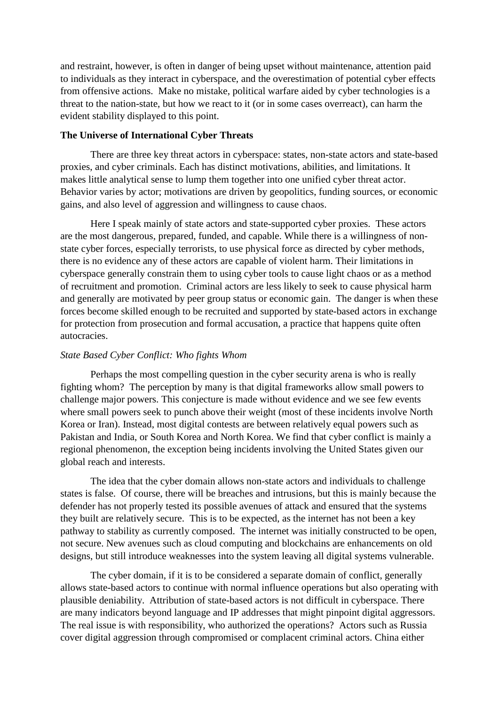and restraint, however, is often in danger of being upset without maintenance, attention paid to individuals as they interact in cyberspace, and the overestimation of potential cyber effects from offensive actions. Make no mistake, political warfare aided by cyber technologies is a threat to the nation-state, but how we react to it (or in some cases overreact), can harm the evident stability displayed to this point.

### **The Universe of International Cyber Threats**

There are three key threat actors in cyberspace: states, non-state actors and state-based proxies, and cyber criminals. Each has distinct motivations, abilities, and limitations. It makes little analytical sense to lump them together into one unified cyber threat actor. Behavior varies by actor; motivations are driven by geopolitics, funding sources, or economic gains, and also level of aggression and willingness to cause chaos.

Here I speak mainly of state actors and state-supported cyber proxies. These actors are the most dangerous, prepared, funded, and capable. While there is a willingness of nonstate cyber forces, especially terrorists, to use physical force as directed by cyber methods, there is no evidence any of these actors are capable of violent harm. Their limitations in cyberspace generally constrain them to using cyber tools to cause light chaos or as a method of recruitment and promotion. Criminal actors are less likely to seek to cause physical harm and generally are motivated by peer group status or economic gain. The danger is when these forces become skilled enough to be recruited and supported by state-based actors in exchange for protection from prosecution and formal accusation, a practice that happens quite often autocracies.

# *State Based Cyber Conflict: Who fights Whom*

Perhaps the most compelling question in the cyber security arena is who is really fighting whom? The perception by many is that digital frameworks allow small powers to challenge major powers. This conjecture is made without evidence and we see few events where small powers seek to punch above their weight (most of these incidents involve North Korea or Iran). Instead, most digital contests are between relatively equal powers such as Pakistan and India, or South Korea and North Korea. We find that cyber conflict is mainly a regional phenomenon, the exception being incidents involving the United States given our global reach and interests.

The idea that the cyber domain allows non-state actors and individuals to challenge states is false. Of course, there will be breaches and intrusions, but this is mainly because the defender has not properly tested its possible avenues of attack and ensured that the systems they built are relatively secure. This is to be expected, as the internet has not been a key pathway to stability as currently composed. The internet was initially constructed to be open, not secure. New avenues such as cloud computing and blockchains are enhancements on old designs, but still introduce weaknesses into the system leaving all digital systems vulnerable.

The cyber domain, if it is to be considered a separate domain of conflict, generally allows state-based actors to continue with normal influence operations but also operating with plausible deniability. Attribution of state-based actors is not difficult in cyberspace. There are many indicators beyond language and IP addresses that might pinpoint digital aggressors. The real issue is with responsibility, who authorized the operations? Actors such as Russia cover digital aggression through compromised or complacent criminal actors. China either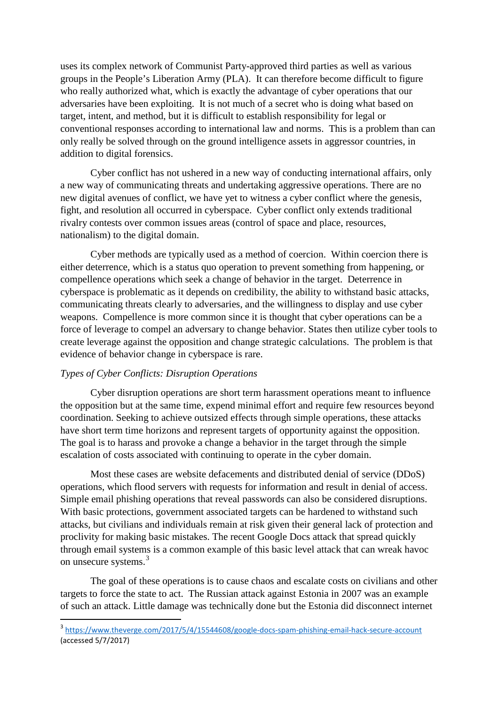uses its complex network of Communist Party-approved third parties as well as various groups in the People's Liberation Army (PLA). It can therefore become difficult to figure who really authorized what, which is exactly the advantage of cyber operations that our adversaries have been exploiting. It is not much of a secret who is doing what based on target, intent, and method, but it is difficult to establish responsibility for legal or conventional responses according to international law and norms. This is a problem than can only really be solved through on the ground intelligence assets in aggressor countries, in addition to digital forensics.

Cyber conflict has not ushered in a new way of conducting international affairs, only a new way of communicating threats and undertaking aggressive operations. There are no new digital avenues of conflict, we have yet to witness a cyber conflict where the genesis, fight, and resolution all occurred in cyberspace. Cyber conflict only extends traditional rivalry contests over common issues areas (control of space and place, resources, nationalism) to the digital domain.

Cyber methods are typically used as a method of coercion. Within coercion there is either deterrence, which is a status quo operation to prevent something from happening, or compellence operations which seek a change of behavior in the target. Deterrence in cyberspace is problematic as it depends on credibility, the ability to withstand basic attacks, communicating threats clearly to adversaries, and the willingness to display and use cyber weapons. Compellence is more common since it is thought that cyber operations can be a force of leverage to compel an adversary to change behavior. States then utilize cyber tools to create leverage against the opposition and change strategic calculations. The problem is that evidence of behavior change in cyberspace is rare.

# *Types of Cyber Conflicts: Disruption Operations*

Cyber disruption operations are short term harassment operations meant to influence the opposition but at the same time, expend minimal effort and require few resources beyond coordination. Seeking to achieve outsized effects through simple operations, these attacks have short term time horizons and represent targets of opportunity against the opposition. The goal is to harass and provoke a change a behavior in the target through the simple escalation of costs associated with continuing to operate in the cyber domain.

Most these cases are website defacements and distributed denial of service (DDoS) operations, which flood servers with requests for information and result in denial of access. Simple email phishing operations that reveal passwords can also be considered disruptions. With basic protections, government associated targets can be hardened to withstand such attacks, but civilians and individuals remain at risk given their general lack of protection and proclivity for making basic mistakes. The recent Google Docs attack that spread quickly through email systems is a common example of this basic level attack that can wreak havoc on unsecure systems.<sup>[3](#page-3-0)</sup>

The goal of these operations is to cause chaos and escalate costs on civilians and other targets to force the state to act. The Russian attack against Estonia in 2007 was an example of such an attack. Little damage was technically done but the Estonia did disconnect internet

<span id="page-3-0"></span> <sup>3</sup> <https://www.theverge.com/2017/5/4/15544608/google-docs-spam-phishing-email-hack-secure-account> (accessed 5/7/2017)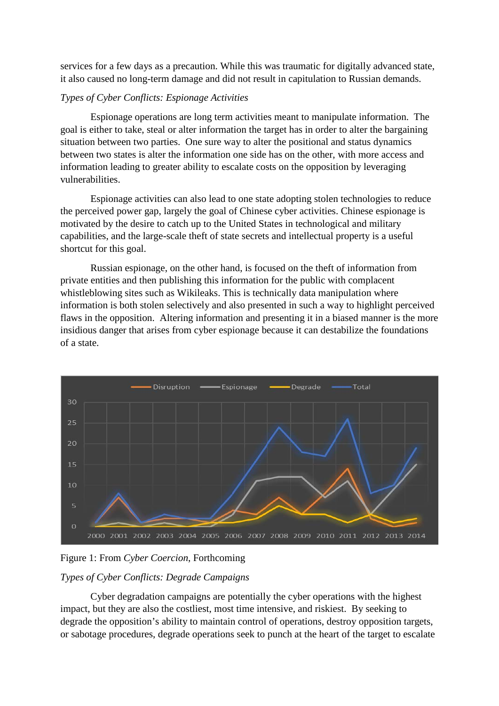services for a few days as a precaution. While this was traumatic for digitally advanced state, it also caused no long-term damage and did not result in capitulation to Russian demands.

### *Types of Cyber Conflicts: Espionage Activities*

Espionage operations are long term activities meant to manipulate information. The goal is either to take, steal or alter information the target has in order to alter the bargaining situation between two parties. One sure way to alter the positional and status dynamics between two states is alter the information one side has on the other, with more access and information leading to greater ability to escalate costs on the opposition by leveraging vulnerabilities.

Espionage activities can also lead to one state adopting stolen technologies to reduce the perceived power gap, largely the goal of Chinese cyber activities. Chinese espionage is motivated by the desire to catch up to the United States in technological and military capabilities, and the large-scale theft of state secrets and intellectual property is a useful shortcut for this goal.

Russian espionage, on the other hand, is focused on the theft of information from private entities and then publishing this information for the public with complacent whistleblowing sites such as Wikileaks. This is technically data manipulation where information is both stolen selectively and also presented in such a way to highlight perceived flaws in the opposition. Altering information and presenting it in a biased manner is the more insidious danger that arises from cyber espionage because it can destabilize the foundations of a state.



Figure 1: From *Cyber Coercion*, Forthcoming

# *Types of Cyber Conflicts: Degrade Campaigns*

Cyber degradation campaigns are potentially the cyber operations with the highest impact, but they are also the costliest, most time intensive, and riskiest. By seeking to degrade the opposition's ability to maintain control of operations, destroy opposition targets, or sabotage procedures, degrade operations seek to punch at the heart of the target to escalate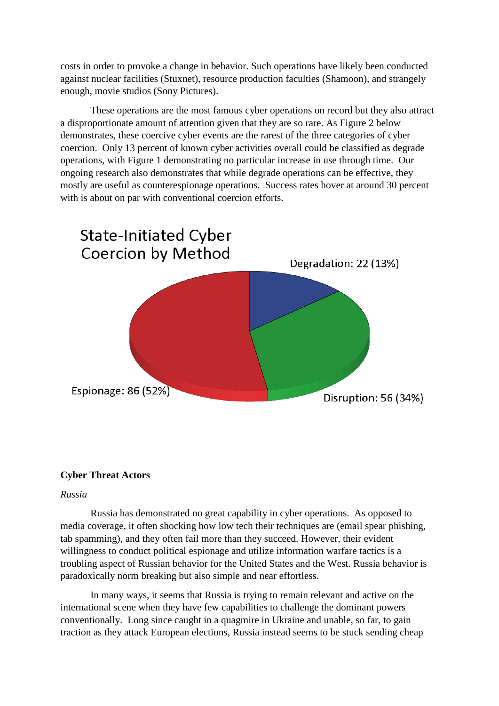costs in order to provoke a change in behavior. Such operations have likely been conducted against nuclear facilities (Stuxnet), resource production faculties (Shamoon), and strangely enough, movie studios (Sony Pictures).

These operations are the most famous cyber operations on record but they also attract a disproportionate amount of attention given that they are so rare. As Figure 2 below demonstrates, these coercive cyber events are the rarest of the three categories of cyber coercion. Only 13 percent of known cyber activities overall could be classified as degrade operations, with Figure 1 demonstrating no particular increase in use through time. Our ongoing research also demonstrates that while degrade operations can be effective, they mostly are useful as counterespionage operations. Success rates hover at around 30 percent with is about on par with conventional coercion efforts.



# **Cyber Threat Actors**

### *Russia*

Russia has demonstrated no great capability in cyber operations. As opposed to media coverage, it often shocking how low tech their techniques are (email spear phishing, tab spamming), and they often fail more than they succeed. However, their evident willingness to conduct political espionage and utilize information warfare tactics is a troubling aspect of Russian behavior for the United States and the West. Russia behavior is paradoxically norm breaking but also simple and near effortless.

In many ways, it seems that Russia is trying to remain relevant and active on the international scene when they have few capabilities to challenge the dominant powers conventionally. Long since caught in a quagmire in Ukraine and unable, so far, to gain traction as they attack European elections, Russia instead seems to be stuck sending cheap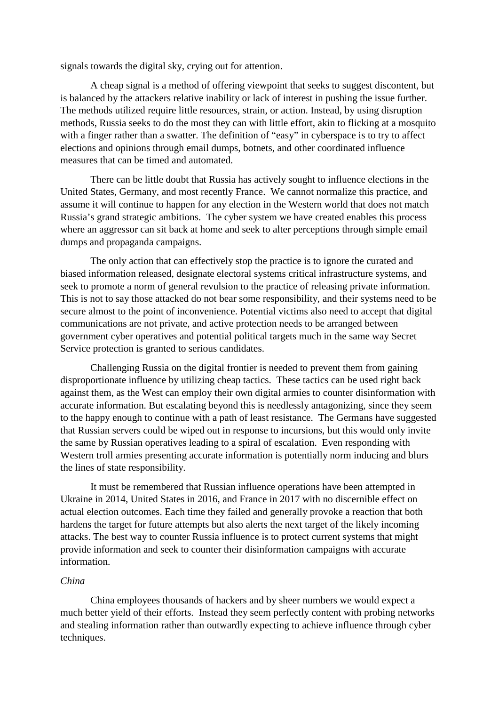signals towards the digital sky, crying out for attention.

A cheap signal is a method of offering viewpoint that seeks to suggest discontent, but is balanced by the attackers relative inability or lack of interest in pushing the issue further. The methods utilized require little resources, strain, or action. Instead, by using disruption methods, Russia seeks to do the most they can with little effort, akin to flicking at a mosquito with a finger rather than a swatter. The definition of "easy" in cyberspace is to try to affect elections and opinions through email dumps, botnets, and other coordinated influence measures that can be timed and automated.

There can be little doubt that Russia has actively sought to influence elections in the United States, Germany, and most recently France. We cannot normalize this practice, and assume it will continue to happen for any election in the Western world that does not match Russia's grand strategic ambitions. The cyber system we have created enables this process where an aggressor can sit back at home and seek to alter perceptions through simple email dumps and propaganda campaigns.

The only action that can effectively stop the practice is to ignore the curated and biased information released, designate electoral systems critical infrastructure systems, and seek to promote a norm of general revulsion to the practice of releasing private information. This is not to say those attacked do not bear some responsibility, and their systems need to be secure almost to the point of inconvenience. Potential victims also need to accept that digital communications are not private, and active protection needs to be arranged between government cyber operatives and potential political targets much in the same way Secret Service protection is granted to serious candidates.

Challenging Russia on the digital frontier is needed to prevent them from gaining disproportionate influence by utilizing cheap tactics. These tactics can be used right back against them, as the West can employ their own digital armies to counter disinformation with accurate information. But escalating beyond this is needlessly antagonizing, since they seem to the happy enough to continue with a path of least resistance. The Germans have suggested that Russian servers could be wiped out in response to incursions, but this would only invite the same by Russian operatives leading to a spiral of escalation. Even responding with Western troll armies presenting accurate information is potentially norm inducing and blurs the lines of state responsibility.

It must be remembered that Russian influence operations have been attempted in Ukraine in 2014, United States in 2016, and France in 2017 with no discernible effect on actual election outcomes. Each time they failed and generally provoke a reaction that both hardens the target for future attempts but also alerts the next target of the likely incoming attacks. The best way to counter Russia influence is to protect current systems that might provide information and seek to counter their disinformation campaigns with accurate information.

### *China*

China employees thousands of hackers and by sheer numbers we would expect a much better yield of their efforts. Instead they seem perfectly content with probing networks and stealing information rather than outwardly expecting to achieve influence through cyber techniques.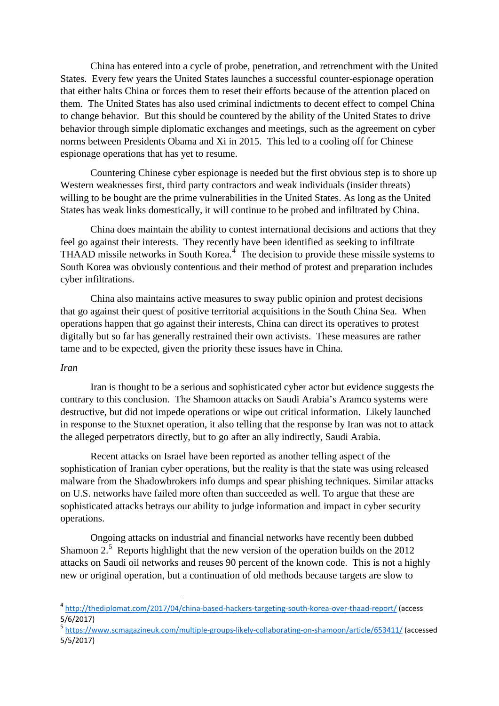China has entered into a cycle of probe, penetration, and retrenchment with the United States. Every few years the United States launches a successful counter-espionage operation that either halts China or forces them to reset their efforts because of the attention placed on them. The United States has also used criminal indictments to decent effect to compel China to change behavior. But this should be countered by the ability of the United States to drive behavior through simple diplomatic exchanges and meetings, such as the agreement on cyber norms between Presidents Obama and Xi in 2015. This led to a cooling off for Chinese espionage operations that has yet to resume.

Countering Chinese cyber espionage is needed but the first obvious step is to shore up Western weaknesses first, third party contractors and weak individuals (insider threats) willing to be bought are the prime vulnerabilities in the United States. As long as the United States has weak links domestically, it will continue to be probed and infiltrated by China.

China does maintain the ability to contest international decisions and actions that they feel go against their interests. They recently have been identified as seeking to infiltrate THAAD missile networks in South Korea.<sup>[4](#page-7-0)</sup> The decision to provide these missile systems to South Korea was obviously contentious and their method of protest and preparation includes cyber infiltrations.

China also maintains active measures to sway public opinion and protest decisions that go against their quest of positive territorial acquisitions in the South China Sea. When operations happen that go against their interests, China can direct its operatives to protest digitally but so far has generally restrained their own activists. These measures are rather tame and to be expected, given the priority these issues have in China.

# *Iran*

Iran is thought to be a serious and sophisticated cyber actor but evidence suggests the contrary to this conclusion. The Shamoon attacks on Saudi Arabia's Aramco systems were destructive, but did not impede operations or wipe out critical information. Likely launched in response to the Stuxnet operation, it also telling that the response by Iran was not to attack the alleged perpetrators directly, but to go after an ally indirectly, Saudi Arabia.

Recent attacks on Israel have been reported as another telling aspect of the sophistication of Iranian cyber operations, but the reality is that the state was using released malware from the Shadowbrokers info dumps and spear phishing techniques. Similar attacks on U.S. networks have failed more often than succeeded as well. To argue that these are sophisticated attacks betrays our ability to judge information and impact in cyber security operations.

Ongoing attacks on industrial and financial networks have recently been dubbed Shamoon  $2<sup>5</sup>$  $2<sup>5</sup>$  $2<sup>5</sup>$  Reports highlight that the new version of the operation builds on the 2012 attacks on Saudi oil networks and reuses 90 percent of the known code. This is not a highly new or original operation, but a continuation of old methods because targets are slow to

<span id="page-7-0"></span> <sup>4</sup> <http://thediplomat.com/2017/04/china-based-hackers-targeting-south-korea-over-thaad-report/> (access 5/6/2017)

<span id="page-7-1"></span><sup>5</sup> <https://www.scmagazineuk.com/multiple-groups-likely-collaborating-on-shamoon/article/653411/> (accessed 5/5/2017)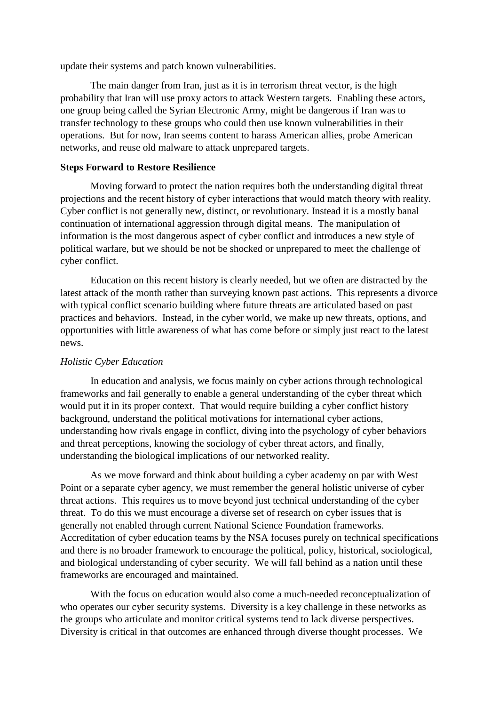update their systems and patch known vulnerabilities.

The main danger from Iran, just as it is in terrorism threat vector, is the high probability that Iran will use proxy actors to attack Western targets. Enabling these actors, one group being called the Syrian Electronic Army, might be dangerous if Iran was to transfer technology to these groups who could then use known vulnerabilities in their operations. But for now, Iran seems content to harass American allies, probe American networks, and reuse old malware to attack unprepared targets.

### **Steps Forward to Restore Resilience**

Moving forward to protect the nation requires both the understanding digital threat projections and the recent history of cyber interactions that would match theory with reality. Cyber conflict is not generally new, distinct, or revolutionary. Instead it is a mostly banal continuation of international aggression through digital means. The manipulation of information is the most dangerous aspect of cyber conflict and introduces a new style of political warfare, but we should be not be shocked or unprepared to meet the challenge of cyber conflict.

Education on this recent history is clearly needed, but we often are distracted by the latest attack of the month rather than surveying known past actions. This represents a divorce with typical conflict scenario building where future threats are articulated based on past practices and behaviors. Instead, in the cyber world, we make up new threats, options, and opportunities with little awareness of what has come before or simply just react to the latest news.

#### *Holistic Cyber Education*

In education and analysis, we focus mainly on cyber actions through technological frameworks and fail generally to enable a general understanding of the cyber threat which would put it in its proper context. That would require building a cyber conflict history background, understand the political motivations for international cyber actions, understanding how rivals engage in conflict, diving into the psychology of cyber behaviors and threat perceptions, knowing the sociology of cyber threat actors, and finally, understanding the biological implications of our networked reality.

As we move forward and think about building a cyber academy on par with West Point or a separate cyber agency, we must remember the general holistic universe of cyber threat actions. This requires us to move beyond just technical understanding of the cyber threat. To do this we must encourage a diverse set of research on cyber issues that is generally not enabled through current National Science Foundation frameworks. Accreditation of cyber education teams by the NSA focuses purely on technical specifications and there is no broader framework to encourage the political, policy, historical, sociological, and biological understanding of cyber security. We will fall behind as a nation until these frameworks are encouraged and maintained.

With the focus on education would also come a much-needed reconceptualization of who operates our cyber security systems. Diversity is a key challenge in these networks as the groups who articulate and monitor critical systems tend to lack diverse perspectives. Diversity is critical in that outcomes are enhanced through diverse thought processes. We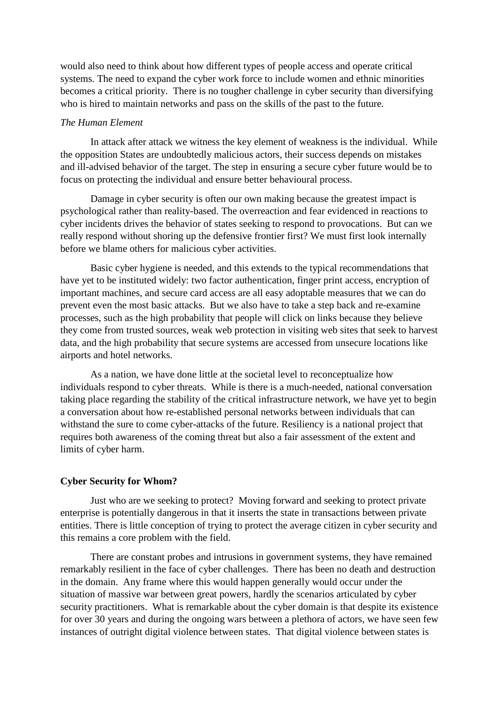would also need to think about how different types of people access and operate critical systems. The need to expand the cyber work force to include women and ethnic minorities becomes a critical priority. There is no tougher challenge in cyber security than diversifying who is hired to maintain networks and pass on the skills of the past to the future.

#### *The Human Element*

In attack after attack we witness the key element of weakness is the individual. While the opposition States are undoubtedly malicious actors, their success depends on mistakes and ill-advised behavior of the target. The step in ensuring a secure cyber future would be to focus on protecting the individual and ensure better behavioural process.

Damage in cyber security is often our own making because the greatest impact is psychological rather than reality-based. The overreaction and fear evidenced in reactions to cyber incidents drives the behavior of states seeking to respond to provocations. But can we really respond without shoring up the defensive frontier first? We must first look internally before we blame others for malicious cyber activities.

Basic cyber hygiene is needed, and this extends to the typical recommendations that have yet to be instituted widely: two factor authentication, finger print access, encryption of important machines, and secure card access are all easy adoptable measures that we can do prevent even the most basic attacks. But we also have to take a step back and re-examine processes, such as the high probability that people will click on links because they believe they come from trusted sources, weak web protection in visiting web sites that seek to harvest data, and the high probability that secure systems are accessed from unsecure locations like airports and hotel networks.

As a nation, we have done little at the societal level to reconceptualize how individuals respond to cyber threats. While is there is a much-needed, national conversation taking place regarding the stability of the critical infrastructure network, we have yet to begin a conversation about how re-established personal networks between individuals that can withstand the sure to come cyber-attacks of the future. Resiliency is a national project that requires both awareness of the coming threat but also a fair assessment of the extent and limits of cyber harm.

#### **Cyber Security for Whom?**

Just who are we seeking to protect? Moving forward and seeking to protect private enterprise is potentially dangerous in that it inserts the state in transactions between private entities. There is little conception of trying to protect the average citizen in cyber security and this remains a core problem with the field.

There are constant probes and intrusions in government systems, they have remained remarkably resilient in the face of cyber challenges. There has been no death and destruction in the domain. Any frame where this would happen generally would occur under the situation of massive war between great powers, hardly the scenarios articulated by cyber security practitioners. What is remarkable about the cyber domain is that despite its existence for over 30 years and during the ongoing wars between a plethora of actors, we have seen few instances of outright digital violence between states. That digital violence between states is